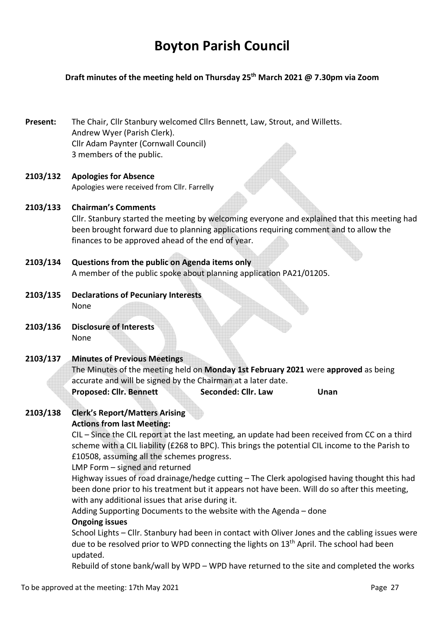# **Boyton Parish Council**

# **Draft minutes of the meeting held on Thursday 25th March 2021 @ 7.30pm via Zoom**

**Present:** The Chair, Cllr Stanbury welcomed Cllrs Bennett, Law, Strout, and Willetts. Andrew Wyer (Parish Clerk). Cllr Adam Paynter (Cornwall Council) 3 members of the public.

## **2103/132 Apologies for Absence**  Apologies were received from Cllr. Farrelly

- **2103/133 Chairman's Comments**  Cllr. Stanbury started the meeting by welcoming everyone and explained that this meeting had been brought forward due to planning applications requiring comment and to allow the finances to be approved ahead of the end of year.
- **2103/134 Questions from the public on Agenda items only** A member of the public spoke about planning application PA21/01205.
- **2103/135 Declarations of Pecuniary Interests** None
- **2103/136 Disclosure of Interests**  None

# **2103/137 Minutes of Previous Meetings**

The Minutes of the meeting held on **Monday 1st February 2021** were **approved** as being accurate and will be signed by the Chairman at a later date.

**Proposed: Cllr. Bennett Seconded: Cllr. Law Unan** 

#### **2103/138 Clerk's Report/Matters Arising Actions from last Meeting:**

CIL – Since the CIL report at the last meeting, an update had been received from CC on a third scheme with a CIL liability (£268 to BPC). This brings the potential CIL income to the Parish to £10508, assuming all the schemes progress.

LMP Form – signed and returned

Highway issues of road drainage/hedge cutting – The Clerk apologised having thought this had been done prior to his treatment but it appears not have been. Will do so after this meeting, with any additional issues that arise during it.

Adding Supporting Documents to the website with the Agenda – done

# **Ongoing issues**

School Lights – Cllr. Stanbury had been in contact with Oliver Jones and the cabling issues were due to be resolved prior to WPD connecting the lights on 13<sup>th</sup> April. The school had been updated.

Rebuild of stone bank/wall by WPD – WPD have returned to the site and completed the works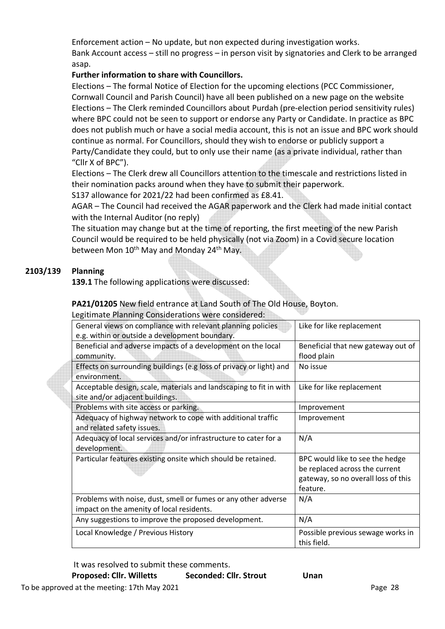Enforcement action – No update, but non expected during investigation works. Bank Account access – still no progress – in person visit by signatories and Clerk to be arranged asap.

# **Further information to share with Councillors.**

Elections – The formal Notice of Election for the upcoming elections (PCC Commissioner, Cornwall Council and Parish Council) have all been published on a new page on the website Elections – The Clerk reminded Councillors about Purdah (pre-election period sensitivity rules) where BPC could not be seen to support or endorse any Party or Candidate. In practice as BPC does not publish much or have a social media account, this is not an issue and BPC work should continue as normal. For Councillors, should they wish to endorse or publicly support a Party/Candidate they could, but to only use their name (as a private individual, rather than "Cllr X of BPC").

Elections – The Clerk drew all Councillors attention to the timescale and restrictions listed in their nomination packs around when they have to submit their paperwork.

S137 allowance for 2021/22 had been confirmed as £8.41.

AGAR – The Council had received the AGAR paperwork and the Clerk had made initial contact with the Internal Auditor (no reply)

The situation may change but at the time of reporting, the first meeting of the new Parish Council would be required to be held physically (not via Zoom) in a Covid secure location between Mon 10<sup>th</sup> May and Monday 24<sup>th</sup> May.

# **2103/139 Planning**

**139.1** The following applications were discussed:

**PA21/01205** New field entrance at Land South of The Old House, Boyton.

Legitimate Planning Considerations were considered:

| General views on compliance with relevant planning policies<br>e.g. within or outside a development boundary. | Like for like replacement                                                                                            |
|---------------------------------------------------------------------------------------------------------------|----------------------------------------------------------------------------------------------------------------------|
| Beneficial and adverse impacts of a development on the local<br>community.                                    | Beneficial that new gateway out of<br>flood plain                                                                    |
| Effects on surrounding buildings (e.g loss of privacy or light) and<br>environment.                           | No issue                                                                                                             |
| Acceptable design, scale, materials and landscaping to fit in with<br>site and/or adjacent buildings.         | Like for like replacement                                                                                            |
| Problems with site access or parking.                                                                         | Improvement                                                                                                          |
| Adequacy of highway network to cope with additional traffic<br>and related safety issues.                     | Improvement                                                                                                          |
| Adequacy of local services and/or infrastructure to cater for a<br>development.                               | N/A                                                                                                                  |
| Particular features existing onsite which should be retained.                                                 | BPC would like to see the hedge<br>be replaced across the current<br>gateway, so no overall loss of this<br>feature. |
| Problems with noise, dust, smell or fumes or any other adverse<br>impact on the amenity of local residents.   | N/A                                                                                                                  |
| Any suggestions to improve the proposed development.                                                          | N/A                                                                                                                  |
| Local Knowledge / Previous History                                                                            | Possible previous sewage works in<br>this field.                                                                     |

It was resolved to submit these comments.

Proposed: Cllr. Willetts Seconded: Cllr. Strout Unan

To be approved at the meeting: 17th May 2021 **Page 28** Page 28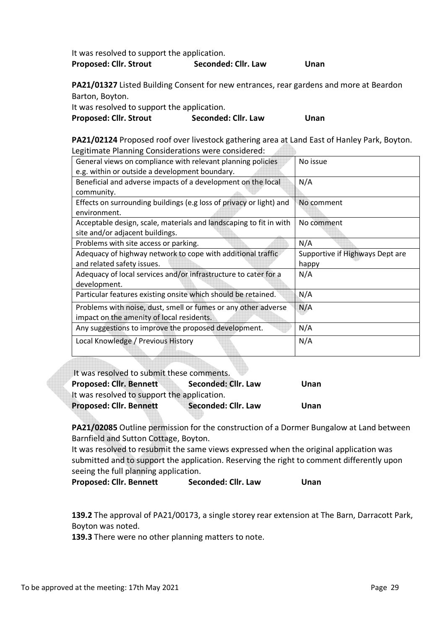| It was resolved to support the application. |                     |      |
|---------------------------------------------|---------------------|------|
| <b>Proposed: Cllr. Strout</b>               | Seconded: Cllr. Law | Unan |

**PA21/01327** Listed Building Consent for new entrances, rear gardens and more at Beardon Barton, Boyton.

It was resolved to support the application.

Proposed: Cllr. Strout **Seconded: Cllr. Law** Unan

**PA21/02124** Proposed roof over livestock gathering area at Land East of Hanley Park, Boyton. Legitimate Planning Considerations were considered:

| General views on compliance with relevant planning policies         | No issue                        |
|---------------------------------------------------------------------|---------------------------------|
| e.g. within or outside a development boundary.                      |                                 |
| Beneficial and adverse impacts of a development on the local        | N/A                             |
| community.                                                          |                                 |
| Effects on surrounding buildings (e.g loss of privacy or light) and | No comment                      |
| environment.                                                        |                                 |
| Acceptable design, scale, materials and landscaping to fit in with  | No comment                      |
| site and/or adjacent buildings.                                     |                                 |
| Problems with site access or parking.                               | N/A                             |
| Adequacy of highway network to cope with additional traffic         | Supportive if Highways Dept are |
| and related safety issues.                                          | happy                           |
| Adequacy of local services and/or infrastructure to cater for a     | N/A                             |
| development.                                                        |                                 |
| Particular features existing onsite which should be retained.       | N/A                             |
| Problems with noise, dust, smell or fumes or any other adverse      | N/A                             |
| impact on the amenity of local residents.                           |                                 |
| Any suggestions to improve the proposed development.                | N/A                             |
| Local Knowledge / Previous History                                  | N/A                             |
|                                                                     |                                 |

| It was resolved to submit these comments.   |                     |      |
|---------------------------------------------|---------------------|------|
| <b>Proposed: Cllr. Bennett</b>              | Seconded: Cllr. Law | Unan |
| It was resolved to support the application. |                     |      |
| <b>Proposed: Cllr. Bennett</b>              | Seconded: Cllr. Law | Unan |

**PA21/02085** Outline permission for the construction of a Dormer Bungalow at Land between Barnfield and Sutton Cottage, Boyton.

It was resolved to resubmit the same views expressed when the original application was submitted and to support the application. Reserving the right to comment differently upon seeing the full planning application.

**Proposed: Cllr. Bennett Seconded: Cllr. Law Unan** 

**139.2** The approval of PA21/00173, a single storey rear extension at The Barn, Darracott Park, Boyton was noted.

**139.3** There were no other planning matters to note.